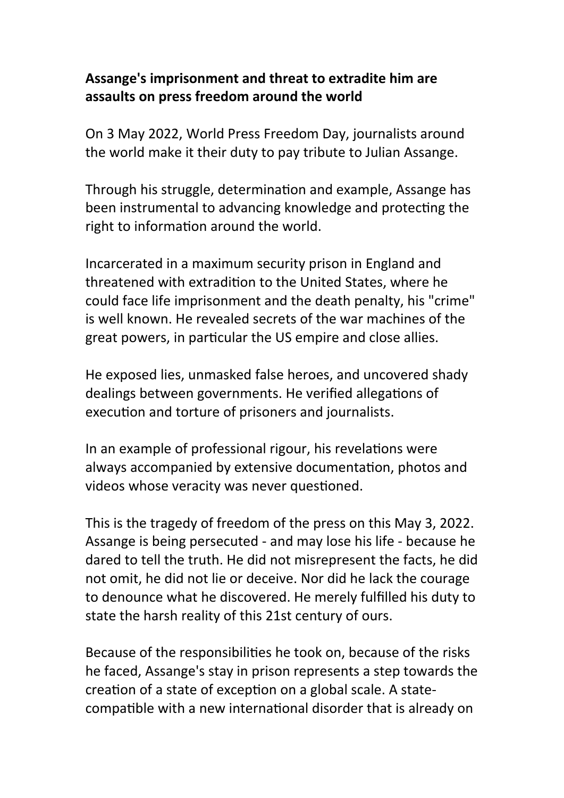## **Assange's imprisonment and threat to extradite him are assaults on press freedom around the world**

On 3 May 2022, World Press Freedom Day, journalists around the world make it their duty to pay tribute to Julian Assange.

Through his struggle, determination and example, Assange has been instrumental to advancing knowledge and protecting the right to information around the world.

Incarcerated in a maximum security prison in England and threatened with extradition to the United States, where he could face life imprisonment and the death penalty, his "crime" is well known. He revealed secrets of the war machines of the great powers, in particular the US empire and close allies.

He exposed lies, unmasked false heroes, and uncovered shady dealings between governments. He verified allegations of execution and torture of prisoners and journalists.

In an example of professional rigour, his revelations were always accompanied by extensive documentation, photos and videos whose veracity was never questioned.

This is the tragedy of freedom of the press on this May 3, 2022. Assange is being persecuted - and may lose his life - because he dared to tell the truth. He did not misrepresent the facts, he did not omit, he did not lie or deceive. Nor did he lack the courage to denounce what he discovered. He merely fulfilled his duty to state the harsh reality of this 21st century of ours.

Because of the responsibilities he took on, because of the risks he faced, Assange's stay in prison represents a step towards the creation of a state of exception on a global scale. A statecompatible with a new international disorder that is already on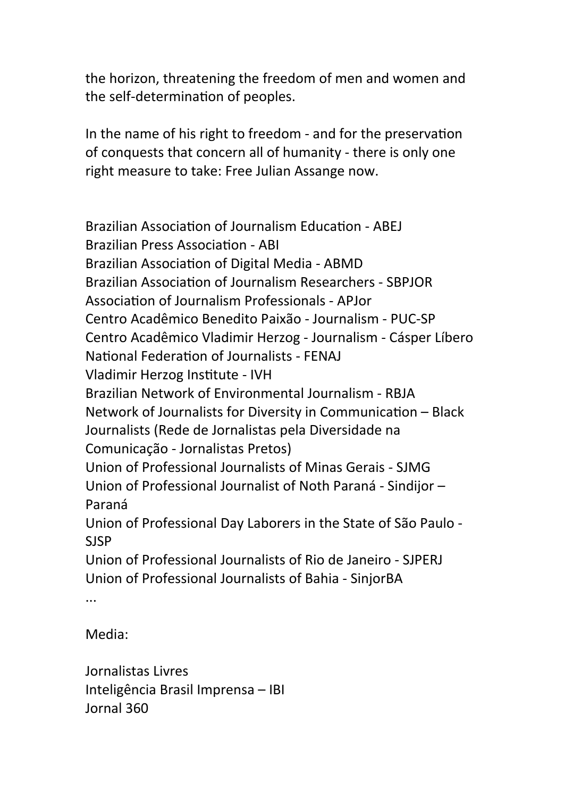the horizon, threatening the freedom of men and women and the self-determination of peoples.

In the name of his right to freedom - and for the preservation of conquests that concern all of humanity - there is only one right measure to take: Free Julian Assange now.

Brazilian Association of Journalism Education - ABEJ Brazilian Press Association - ABI Brazilian Association of Digital Media - ABMD Brazilian Association of Journalism Researchers - SBPJOR Association of Journalism Professionals - APJor Centro Acadêmico Benedito Paixão - Journalism - PUC-SP Centro Acadêmico Vladimir Herzog - Journalism - Cásper Líbero National Federation of Journalists - FENAJ Vladimir Herzog Institute - IVH Brazilian Network of Environmental Journalism - RBJA Network of Journalists for Diversity in Communication – Black Journalists (Rede de Jornalistas pela Diversidade na Comunicação - Jornalistas Pretos) Union of Professional Journalists of Minas Gerais - SJMG Union of Professional Journalist of Noth Paraná - Sindijor – Paraná Union of Professional Day Laborers in the State of São Paulo - SJSP Union of Professional Journalists of Rio de Janeiro - SJPERJ Union of Professional Journalists of Bahia - SinjorBA ...

Media:

Jornalistas Livres Inteligência Brasil Imprensa – IBI Jornal 360